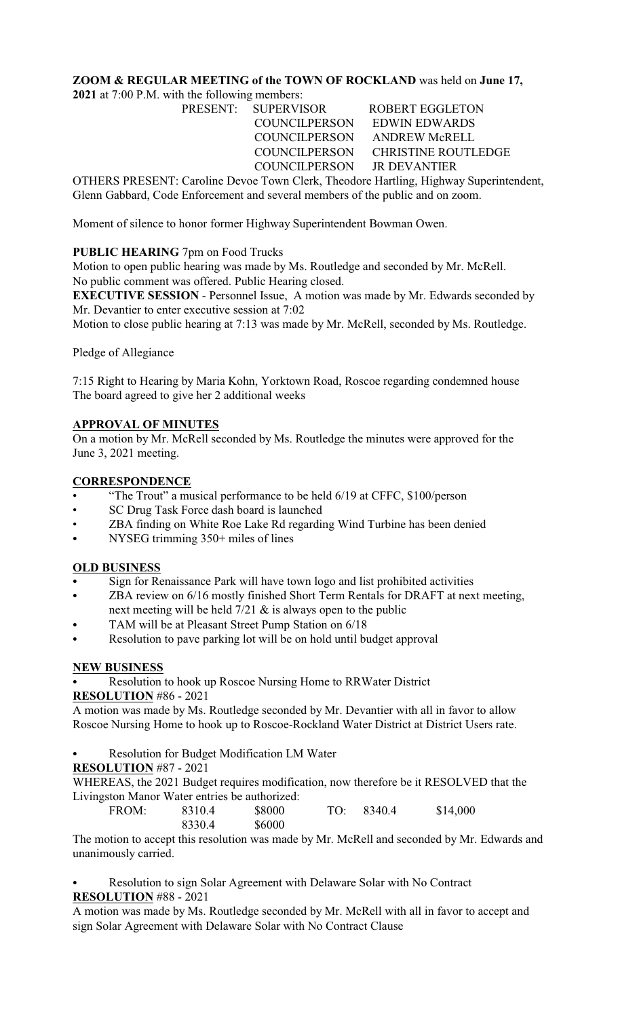# **ZOOM & REGULAR MEETING of the TOWN OF ROCKLAND** was held on **June 17,**

**2021** at 7:00 P.M. with the following members:

PRESENT: SUPERVISOR ROBERT EGGLETON COUNCILPERSON EDWIN EDWARDS COUNCILPERSON ANDREW McRELL COUNCILPERSON CHRISTINE ROUTLEDGE COUNCILPERSON JR DEVANTIER

OTHERS PRESENT: Caroline Devoe Town Clerk, Theodore Hartling, Highway Superintendent, Glenn Gabbard, Code Enforcement and several members of the public and on zoom.

Moment of silence to honor former Highway Superintendent Bowman Owen.

## **PUBLIC HEARING** 7pm on Food Trucks

Motion to open public hearing was made by Ms. Routledge and seconded by Mr. McRell. No public comment was offered. Public Hearing closed.

**EXECUTIVE SESSION** - Personnel Issue, A motion was made by Mr. Edwards seconded by Mr. Devantier to enter executive session at 7:02

Motion to close public hearing at 7:13 was made by Mr. McRell, seconded by Ms. Routledge.

Pledge of Allegiance

7:15 Right to Hearing by Maria Kohn, Yorktown Road, Roscoe regarding condemned house The board agreed to give her 2 additional weeks

## **APPROVAL OF MINUTES**

On a motion by Mr. McRell seconded by Ms. Routledge the minutes were approved for the June 3, 2021 meeting.

## **CORRESPONDENCE**

- "The Trout" a musical performance to be held 6/19 at CFFC, \$100/person
- SC Drug Task Force dash board is launched
- ZBA finding on White Roe Lake Rd regarding Wind Turbine has been denied
- NYSEG trimming 350+ miles of lines

## **OLD BUSINESS**

- Sign for Renaissance Park will have town logo and list prohibited activities
- ZBA review on 6/16 mostly finished Short Term Rentals for DRAFT at next meeting, next meeting will be held  $7/21$  & is always open to the public
- TAM will be at Pleasant Street Pump Station on 6/18
- Resolution to pave parking lot will be on hold until budget approval

## **NEW BUSINESS**

Resolution to hook up Roscoe Nursing Home to RRWater District

#### **RESOLUTION** #86 - 2021

A motion was made by Ms. Routledge seconded by Mr. Devantier with all in favor to allow Roscoe Nursing Home to hook up to Roscoe-Rockland Water District at District Users rate.

- Resolution for Budget Modification LM Water
- **RESOLUTION** #87 2021

WHEREAS, the 2021 Budget requires modification, now therefore be it RESOLVED that the Livingston Manor Water entries be authorized:

| FROM: | 8310.4 | \$8000 | TO: | 8340.4 | \$14,000 |
|-------|--------|--------|-----|--------|----------|
|       | 8330.4 | \$6000 |     |        |          |

The motion to accept this resolution was made by Mr. McRell and seconded by Mr. Edwards and unanimously carried.

Resolution to sign Solar Agreement with Delaware Solar with No Contract **RESOLUTION** #88 - 2021

A motion was made by Ms. Routledge seconded by Mr. McRell with all in favor to accept and sign Solar Agreement with Delaware Solar with No Contract Clause